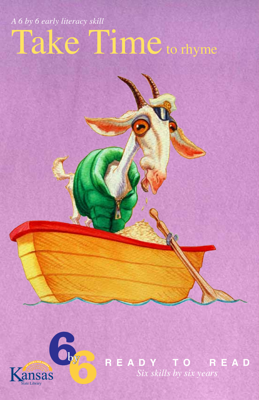## Take Time to rhyme *A 6 by 6 early literacy skill*



**R E A D Y T O R E A D** *Six skills by six years*